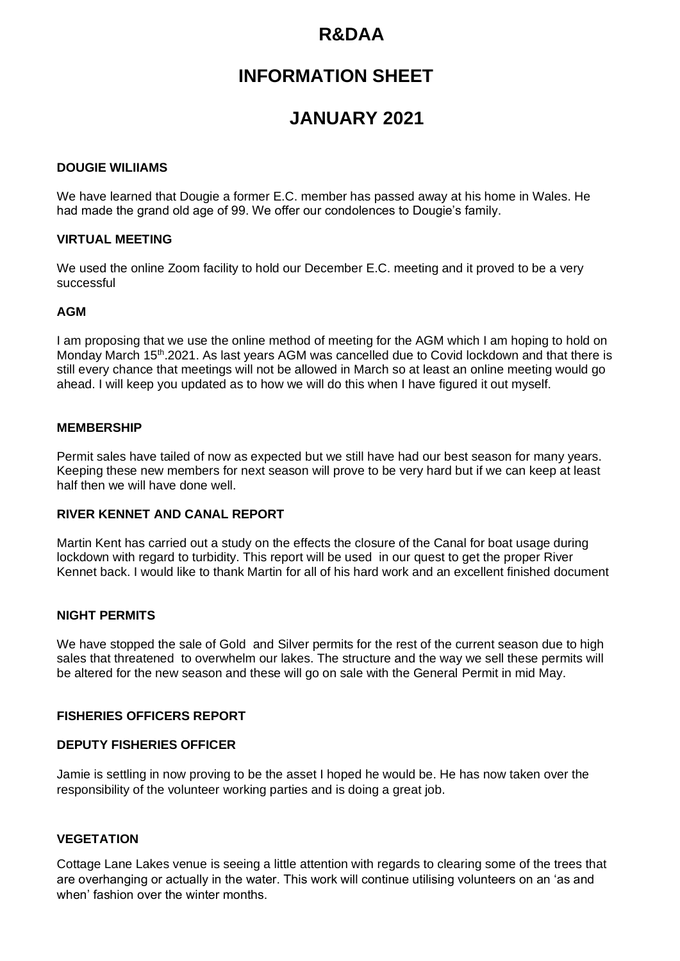# **R&DAA**

# **INFORMATION SHEET**

# **JANUARY 2021**

### **DOUGIE WILIIAMS**

We have learned that Dougie a former E.C. member has passed away at his home in Wales. He had made the grand old age of 99. We offer our condolences to Dougie's family.

### **VIRTUAL MEETING**

We used the online Zoom facility to hold our December E.C. meeting and it proved to be a very successful

## **AGM**

I am proposing that we use the online method of meeting for the AGM which I am hoping to hold on Monday March 15<sup>th</sup>, 2021. As last years AGM was cancelled due to Covid lockdown and that there is still every chance that meetings will not be allowed in March so at least an online meeting would go ahead. I will keep you updated as to how we will do this when I have figured it out myself.

#### **MEMBERSHIP**

Permit sales have tailed of now as expected but we still have had our best season for many years. Keeping these new members for next season will prove to be very hard but if we can keep at least half then we will have done well.

### **RIVER KENNET AND CANAL REPORT**

Martin Kent has carried out a study on the effects the closure of the Canal for boat usage during lockdown with regard to turbidity. This report will be used in our quest to get the proper River Kennet back. I would like to thank Martin for all of his hard work and an excellent finished document

#### **NIGHT PERMITS**

We have stopped the sale of Gold and Silver permits for the rest of the current season due to high sales that threatened to overwhelm our lakes. The structure and the way we sell these permits will be altered for the new season and these will go on sale with the General Permit in mid May.

#### **FISHERIES OFFICERS REPORT**

#### **DEPUTY FISHERIES OFFICER**

Jamie is settling in now proving to be the asset I hoped he would be. He has now taken over the responsibility of the volunteer working parties and is doing a great job.

#### **VEGETATION**

Cottage Lane Lakes venue is seeing a little attention with regards to clearing some of the trees that are overhanging or actually in the water. This work will continue utilising volunteers on an 'as and when' fashion over the winter months.